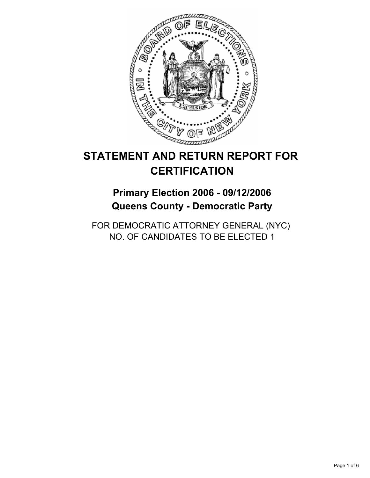

# **STATEMENT AND RETURN REPORT FOR CERTIFICATION**

**Primary Election 2006 - 09/12/2006 Queens County - Democratic Party**

FOR DEMOCRATIC ATTORNEY GENERAL (NYC) NO. OF CANDIDATES TO BE ELECTED 1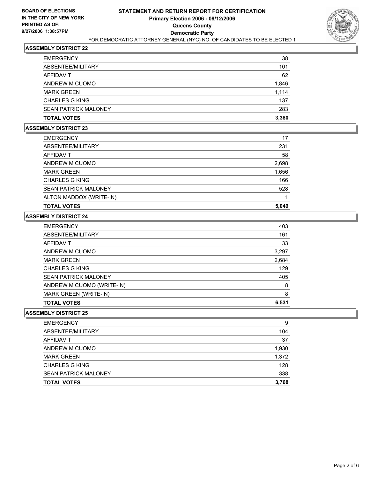

| <b>TOTAL VOTES</b>          | 3,380 |
|-----------------------------|-------|
| <b>SEAN PATRICK MALONEY</b> | 283   |
| <b>CHARLES G KING</b>       | 137   |
| <b>MARK GREEN</b>           | 1,114 |
| ANDREW M CUOMO              | 1,846 |
| AFFIDAVIT                   | 62    |
| ABSENTEE/MILITARY           | 101   |
| <b>EMERGENCY</b>            | 38    |

### **ASSEMBLY DISTRICT 23**

| <b>EMERGENCY</b>            | 17    |
|-----------------------------|-------|
| ABSENTEE/MILITARY           | 231   |
| AFFIDAVIT                   | 58    |
| ANDREW M CUOMO              | 2,698 |
| <b>MARK GREEN</b>           | 1,656 |
| <b>CHARLES G KING</b>       | 166   |
| <b>SEAN PATRICK MALONEY</b> | 528   |
| ALTON MADDOX (WRITE-IN)     |       |
| <b>TOTAL VOTES</b>          | 5,049 |

# **ASSEMBLY DISTRICT 24**

| <b>EMERGENCY</b>            | 403   |
|-----------------------------|-------|
| ABSENTEE/MILITARY           | 161   |
| AFFIDAVIT                   | 33    |
| ANDREW M CUOMO              | 3,297 |
| <b>MARK GREEN</b>           | 2,684 |
| <b>CHARLES G KING</b>       | 129   |
| <b>SEAN PATRICK MALONEY</b> | 405   |
| ANDREW M CUOMO (WRITE-IN)   | 8     |
| MARK GREEN (WRITE-IN)       | 8     |
| <b>TOTAL VOTES</b>          | 6,531 |
|                             |       |

| <b>EMERGENCY</b>            | 9     |
|-----------------------------|-------|
| ABSENTEE/MILITARY           | 104   |
| AFFIDAVIT                   | 37    |
| ANDREW M CUOMO              | 1,930 |
| <b>MARK GREEN</b>           | 1,372 |
| <b>CHARLES G KING</b>       | 128   |
| <b>SEAN PATRICK MALONEY</b> | 338   |
| <b>TOTAL VOTES</b>          | 3,768 |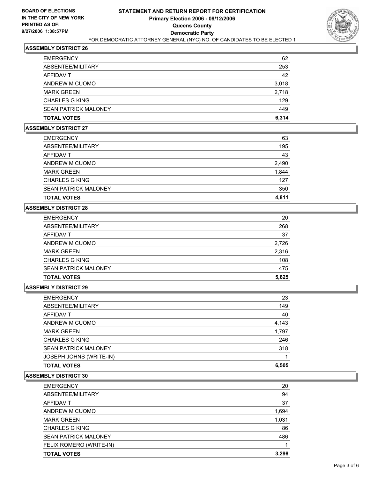

| <b>EMERGENCY</b>            | 62    |
|-----------------------------|-------|
| ABSENTEE/MILITARY           | 253   |
| AFFIDAVIT                   | 42    |
| ANDREW M CUOMO              | 3,018 |
| <b>MARK GREEN</b>           | 2,718 |
| <b>CHARLES G KING</b>       | 129   |
| <b>SEAN PATRICK MALONEY</b> | 449   |
| <b>TOTAL VOTES</b>          | 6,314 |

#### **ASSEMBLY DISTRICT 27**

| <b>TOTAL VOTES</b>          | 4,811 |
|-----------------------------|-------|
| <b>SEAN PATRICK MALONEY</b> | 350   |
| <b>CHARLES G KING</b>       | 127   |
| <b>MARK GREEN</b>           | 1,844 |
| ANDREW M CUOMO              | 2,490 |
| AFFIDAVIT                   | 43    |
| ABSENTEE/MILITARY           | 195   |
| <b>EMERGENCY</b>            | 63    |

# **ASSEMBLY DISTRICT 28**

| <b>EMERGENCY</b>            | 20    |
|-----------------------------|-------|
| ABSENTEE/MILITARY           | 268   |
| AFFIDAVIT                   | 37    |
| ANDREW M CUOMO              | 2,726 |
| <b>MARK GREEN</b>           | 2,316 |
| <b>CHARLES G KING</b>       | 108   |
| <b>SEAN PATRICK MALONEY</b> | 475   |
| <b>TOTAL VOTES</b>          | 5,625 |

#### **ASSEMBLY DISTRICT 29**

| 23    |
|-------|
| 149   |
| 40    |
| 4,143 |
| 1,797 |
| 246   |
| 318   |
|       |
| 6,505 |
|       |

| <b>EMERGENCY</b>            | 20    |
|-----------------------------|-------|
| ABSENTEE/MILITARY           | 94    |
| AFFIDAVIT                   | 37    |
| ANDREW M CUOMO              | 1,694 |
| <b>MARK GREEN</b>           | 1,031 |
| <b>CHARLES G KING</b>       | 86    |
| <b>SEAN PATRICK MALONEY</b> | 486   |
| FELIX ROMERO (WRITE-IN)     |       |
| <b>TOTAL VOTES</b>          | 3,298 |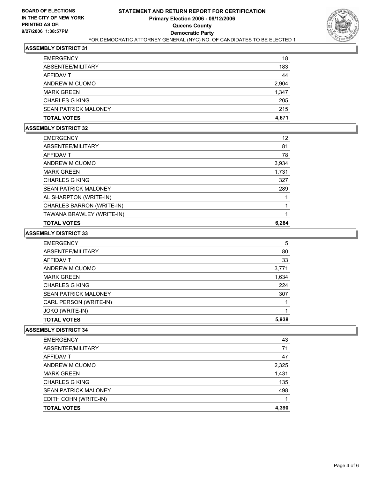

| <b>TOTAL VOTES</b>          | 215<br>4,671 |
|-----------------------------|--------------|
| <b>SEAN PATRICK MALONEY</b> |              |
| <b>CHARLES G KING</b>       | 205          |
| <b>MARK GREEN</b>           | 1,347        |
| ANDREW M CUOMO              | 2,904        |
| AFFIDAVIT                   | 44           |
| ABSENTEE/MILITARY           | 183          |
| <b>EMERGENCY</b>            | 18           |

### **ASSEMBLY DISTRICT 32**

| <b>EMERGENCY</b>            | 12    |
|-----------------------------|-------|
| ABSENTEE/MILITARY           | 81    |
| AFFIDAVIT                   | 78    |
| ANDREW M CUOMO              | 3,934 |
| <b>MARK GREEN</b>           | 1,731 |
| <b>CHARLES G KING</b>       | 327   |
| <b>SEAN PATRICK MALONEY</b> | 289   |
| AL SHARPTON (WRITE-IN)      |       |
| CHARLES BARRON (WRITE-IN)   |       |
| TAWANA BRAWLEY (WRITE-IN)   |       |
| <b>TOTAL VOTES</b>          | 6.284 |

#### **ASSEMBLY DISTRICT 33**

| <b>EMERGENCY</b>            | 5     |
|-----------------------------|-------|
| ABSENTEE/MILITARY           | 80    |
| AFFIDAVIT                   | 33    |
| ANDREW M CUOMO              | 3,771 |
| <b>MARK GREEN</b>           | 1,634 |
| <b>CHARLES G KING</b>       | 224   |
| <b>SEAN PATRICK MALONEY</b> | 307   |
| CARL PERSON (WRITE-IN)      |       |
| JOKO (WRITE-IN)             |       |
| <b>TOTAL VOTES</b>          | 5,938 |
|                             |       |

| <b>EMERGENCY</b>            | 43    |
|-----------------------------|-------|
| ABSENTEE/MILITARY           | 71    |
| AFFIDAVIT                   | 47    |
| ANDREW M CUOMO              | 2,325 |
| <b>MARK GREEN</b>           | 1,431 |
| <b>CHARLES G KING</b>       | 135   |
| <b>SEAN PATRICK MALONEY</b> | 498   |
| EDITH COHN (WRITE-IN)       |       |
| <b>TOTAL VOTES</b>          | 4,390 |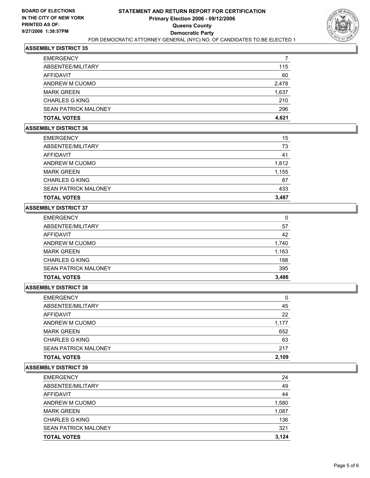

| <b>EMERGENCY</b>            |       |
|-----------------------------|-------|
| ABSENTEE/MILITARY           | 115   |
| AFFIDAVIT                   | 60    |
| ANDREW M CUOMO              | 2,478 |
| <b>MARK GREEN</b>           | 1,637 |
| <b>CHARLES G KING</b>       | 210   |
| <b>SEAN PATRICK MALONEY</b> | 296   |
| <b>TOTAL VOTES</b>          | 4,621 |

# **ASSEMBLY DISTRICT 36**

| <b>EMERGENCY</b>            | 15    |
|-----------------------------|-------|
| ABSENTEE/MILITARY           | 73    |
| <b>AFFIDAVIT</b>            | 41    |
| ANDREW M CUOMO              | 1,812 |
| <b>MARK GREEN</b>           | 1,155 |
| <b>CHARLES G KING</b>       | 87    |
| <b>SEAN PATRICK MALONEY</b> | 433   |
| <b>TOTAL VOTES</b>          | 3,487 |

# **ASSEMBLY DISTRICT 37**

| <b>EMERGENCY</b>            | 0     |
|-----------------------------|-------|
| ABSENTEE/MILITARY           | 57    |
| AFFIDAVIT                   | 42    |
| ANDREW M CUOMO              | 1,740 |
| <b>MARK GREEN</b>           | 1,163 |
| <b>CHARLES G KING</b>       | 188   |
| <b>SEAN PATRICK MALONEY</b> | 395   |
| <b>TOTAL VOTES</b>          | 3,486 |

#### **ASSEMBLY DISTRICT 38**

| <b>EMERGENCY</b>            |       |
|-----------------------------|-------|
| ABSENTEE/MILITARY           | 45    |
| AFFIDAVIT                   | 22    |
| ANDREW M CUOMO              | 1,177 |
| <b>MARK GREEN</b>           | 652   |
| <b>CHARLES G KING</b>       | 63    |
| <b>SEAN PATRICK MALONEY</b> | 217   |
| <b>TOTAL VOTES</b>          | 2,109 |
|                             |       |

| 24    |
|-------|
| 49    |
| 44    |
| 1,580 |
| 1,087 |
| 136   |
| 321   |
| 3,124 |
|       |